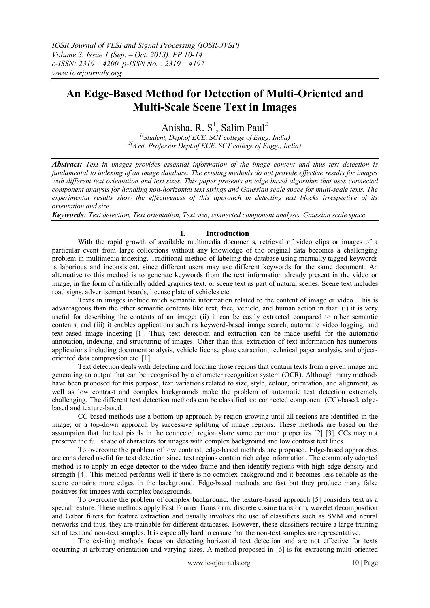# **An Edge-Based Method for Detection of Multi-Oriented and Multi-Scale Scene Text in Images**

Anisha. R. S<sup>1</sup>, Salim Paul<sup>2</sup> *1( Student, Dept.of ECE, SCT college of Engg. India) 2(Asst. Professor Dept.of ECE, SCT college of Engg., India)*

*Abstract: Text in images provides essential information of the image content and thus text detection is fundamental to indexing of an image database. The existing methods do not provide effective results for images with different text orientation and text sizes. This paper presents an edge based algorithm that uses connected component analysis for handling non-horizontal text strings and Gaussian scale space for multi-scale texts. The experimental results show the effectiveness of this approach in detecting text blocks irrespective of its orientation and size.*

*Keywords: Text detection, Text orientation, Text size, connected component analysis, Gaussian scale space*

# **I. Introduction**

With the rapid growth of available multimedia documents, retrieval of video clips or images of a particular event from large collections without any knowledge of the original data becomes a challenging problem in multimedia indexing. Traditional method of labeling the database using manually tagged keywords is laborious and inconsistent, since different users may use different keywords for the same document. An alternative to this method is to generate keywords from the text information already present in the video or image, in the form of artificially added graphics text, or scene text as part of natural scenes. Scene text includes road signs, advertisement boards, license plate of vehicles etc.

Texts in images include much semantic information related to the content of image or video. This is advantageous than the other semantic contents like text, face, vehicle, and human action in that: (i) it is very useful for describing the contents of an image; (ii) it can be easily extracted compared to other semantic contents, and (iii) it enables applications such as keyword-based image search, automatic video logging, and text-based image indexing [1]. Thus, text detection and extraction can be made useful for the automatic annotation, indexing, and structuring of images. Other than this, extraction of text information has numerous applications including document analysis, vehicle license plate extraction, technical paper analysis, and objectoriented data compression etc. [1].

Text detection deals with detecting and locating those regions that contain texts from a given image and generating an output that can be recognised by a character recognition system (OCR). Although many methods have been proposed for this purpose, text variations related to size, style, colour, orientation, and alignment, as well as low contrast and complex backgrounds make the problem of automatic text detection extremely challenging. The different text detection methods can be classified as: connected component (CC)-based, edgebased and texture-based.

CC-based methods use a bottom-up approach by region growing until all regions are identified in the image; or a top-down approach by successive splitting of image regions. These methods are based on the assumption that the text pixels in the connected region share some common properties [2] [3]. CCs may not preserve the full shape of characters for images with complex background and low contrast text lines.

To overcome the problem of low contrast, edge-based methods are proposed. Edge-based approaches are considered useful for text detection since text regions contain rich edge information. The commonly adopted method is to apply an edge detector to the video frame and then identify regions with high edge density and strength [4]. This method performs well if there is no complex background and it becomes less reliable as the scene contains more edges in the background. Edge-based methods are fast but they produce many false positives for images with complex backgrounds.

To overcome the problem of complex background, the texture-based approach [5] considers text as a special texture. These methods apply Fast Fourier Transform, discrete cosine transform, wavelet decomposition and Gabor filters for feature extraction and usually involves the use of classifiers such as SVM and neural networks and thus, they are trainable for different databases. However, these classifiers require a large training set of text and non-text samples. It is especially hard to ensure that the non-text samples are representative.

The existing methods focus on detecting horizontal text detection and are not effective for texts occurring at arbitrary orientation and varying sizes. A method proposed in [6] is for extracting multi-oriented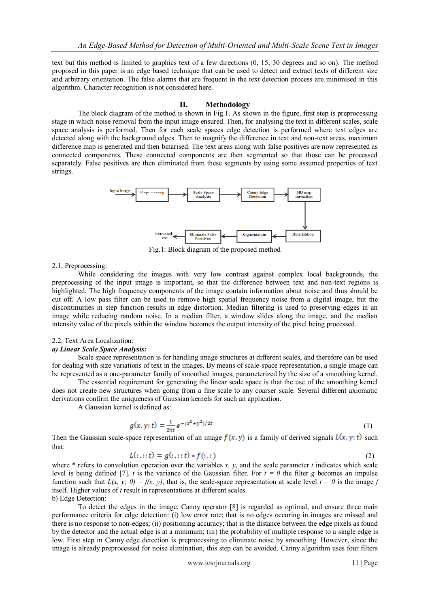text but this method is limited to graphics text of a few directions (0, 15, 30 degrees and so on). The method proposed in this paper is an edge based technique that can be used to detect and extract texts of different size and arbitrary orientation. The false alarms that are frequent in the text detection process are minimised in this algorithm. Character recognition is not considered here.

# **II. Methodology**

The block diagram of the method is shown in Fig.1. As shown in the figure, first step is preprocessing stage in which noise removal from the input image ensured. Then, for analysing the text in different scales, scale space analysis is performed. Then for each scale spaces edge detection is performed where text edges are detected along with the background edges. Then to magnify the difference in text and non-text areas, maximum difference map is generated and then binarised. The text areas along with false positives are now represented as connected components. These connected components are then segmented so that those can be processed separately. False positives are then eliminated from these segments by using some assumed properties of text strings.



Fig.1: Block diagram of the proposed method

# 2.1. Preprocessing:

While considering the images with very low contrast against complex local backgrounds, the preprocessing of the input image is important, so that the difference between text and non-text regions is highlighted. The high frequency components of the image contain information about noise and thus should be cut off. A low pass filter can be used to remove high spatial frequency noise from a digital image, but the discontinuities in step function results in edge distortion. Median filtering is used to preserving edges in an image while reducing random noise. In a median filter, a window slides along the image, and the median intensity value of the pixels within the window becomes the output intensity of the pixel being processed.

### 2.2. Text Area Localization:

### *a) Linear Scale Space Analysis:*

Scale space representation is for handling image structures at different scales, and therefore can be used for dealing with size variations of text in the images. By means of scale-space representation, a single image can be represented as a one-parameter family of smoothed images, parameterized by the size of a smoothing kernel.

The essential requirement for generating the linear scale space is that the use of the smoothing kernel does not create new structures when going from a fine scale to any coarser scale. Several different axiomatic derivations confirm the uniqueness of Gaussian kernels for such an application.

A Gaussian kernel is defined as:

$$
g(x, y; t) = \frac{1}{2\pi t} e^{-(x^2 + y^2)/2t}
$$
 (1)

Then the Gaussian scale-space representation of an image  $f(x, y)$  is a family of derived signals  $L(x, y; t)$  such that:

$$
L(:,;;t) = g(:,;;t) * f(:,;)
$$
\n
$$
(2)
$$

where  $*$  refers to convolution operation over the variables  $x$ ,  $y$ , and the scale parameter  $t$  indicates which scale level is being defined [7]. *t* is the variance of the Gaussian filter. For  $t = 0$  the filter *g* becomes an impulse function such that  $L(x, y; 0) = f(x, y)$ , that is, the scale-space representation at scale level  $t = 0$  is the image f itself. Higher values of *t* result in representations at different scales. b) Edge Detection:

To detect the edges in the image, Canny operator [8] is regarded as optimal, and ensure three main performance criteria for edge detection: (i) low error rate; that is no edges occuring in images are missed and there is no response to non-edges; (ii) positioning accuracy; that is the distance between the edge pixels as found by the detector and the actual edge is at a minimum; (iii) the probability of multiple response to a single edge is low. First step in Canny edge detection is preprocessing to eliminate noise by smoothing. However, since the image is already preprocessed for noise elimination, this step can be avoided. Canny algorithm uses four filters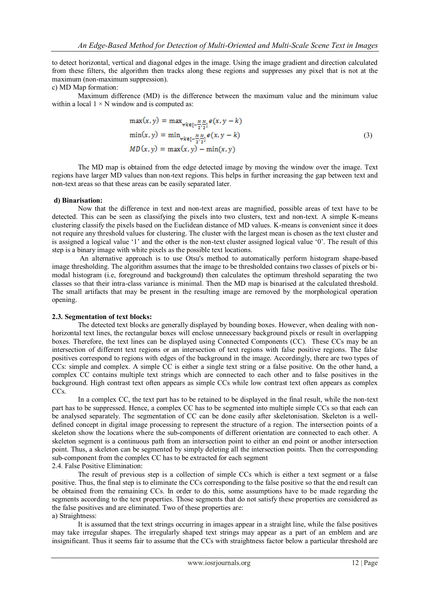to detect horizontal, vertical and diagonal edges in the image. Using the image gradient and direction calculated from these filters, the algorithm then tracks along these regions and suppresses any pixel that is not at the maximum (non-maximum suppression).

# c) MD Map formation:

Maximum difference (MD) is the difference between the maximum value and the minimum value within a local  $1 \times N$  window and is computed as:

$$
\max(x, y) = \max_{\forall k \in [-\frac{N}{2}, \frac{N}{2}]} e(x, y - k)
$$
  
\n
$$
\min(x, y) = \min_{\forall k \in [-\frac{N}{2}, \frac{N}{2}]} e(x, y - k)
$$
  
\n
$$
MD(x, y) = \max(x, y) - \min(x, y)
$$
\n(3)

The MD map is obtained from the edge detected image by moving the window over the image. Text regions have larger MD values than non-text regions. This helps in further increasing the gap between text and non-text areas so that these areas can be easily separated later.

### **d) Binarisation:**

Now that the difference in text and non-text areas are magnified, possible areas of text have to be detected. This can be seen as classifying the pixels into two clusters, text and non-text. A simple K-means clustering classify the pixels based on the Euclidean distance of MD values. K-means is convenient since it does not require any threshold values for clustering. The cluster with the largest mean is chosen as the text cluster and is assigned a logical value '1' and the other is the non-text cluster assigned logical value '0'. The result of this step is a binary image with white pixels as the possible text locations.

An alternative approach is to use Otsu's method to automatically perform histogram shape-based image thresholding. The algorithm assumes that the image to be thresholded contains two classes of pixels or bimodal histogram (i.e, foreground and background) then calculates the optimum threshold separating the two classes so that their intra-class variance is minimal. Then the MD map is binarised at the calculated threshold. The small artifacts that may be present in the resulting image are removed by the morphological operation opening.

# **2.3. Segmentation of text blocks:**

The detected text blocks are generally displayed by bounding boxes. However, when dealing with nonhorizontal text lines, the rectangular boxes will enclose unnecessary background pixels or result in overlapping boxes. Therefore, the text lines can be displayed using Connected Components (CC). These CCs may be an intersection of different text regions or an intersection of text regions with false positive regions. The false positives correspond to regions with edges of the background in the image. Accordingly, there are two types of CCs: simple and complex. A simple CC is either a single text string or a false positive. On the other hand, a complex CC contains multiple text strings which are connected to each other and to false positives in the background. High contrast text often appears as simple CCs while low contrast text often appears as complex CC<sub>s</sub>.

In a complex CC, the text part has to be retained to be displayed in the final result, while the non-text part has to be suppressed. Hence, a complex CC has to be segmented into multiple simple CCs so that each can be analysed separately. The segmentation of CC can be done easily after skeletonisation. Skeleton is a welldefined concept in digital image processing to represent the structure of a region. The intersection points of a skeleton show the locations where the sub-components of different orientation are connected to each other. A skeleton segment is a continuous path from an intersection point to either an end point or another intersection point. Thus, a skeleton can be segmented by simply deleting all the intersection points. Then the corresponding sub-component from the complex CC has to be extracted for each segment 2.4. False Positive Elimination:

The result of previous step is a collection of simple CCs which is either a text segment or a false positive. Thus, the final step is to eliminate the CCs corresponding to the false positive so that the end result can be obtained from the remaining CCs. In order to do this, some assumptions have to be made regarding the segments according to the text properties. Those segments that do not satisfy these properties are considered as the false positives and are eliminated. Two of these properties are: a) Straightness:

It is assumed that the text strings occurring in images appear in a straight line, while the false positives may take irregular shapes. The irregularly shaped text strings may appear as a part of an emblem and are insignificant. Thus it seems fair to assume that the CCs with straightness factor below a particular threshold are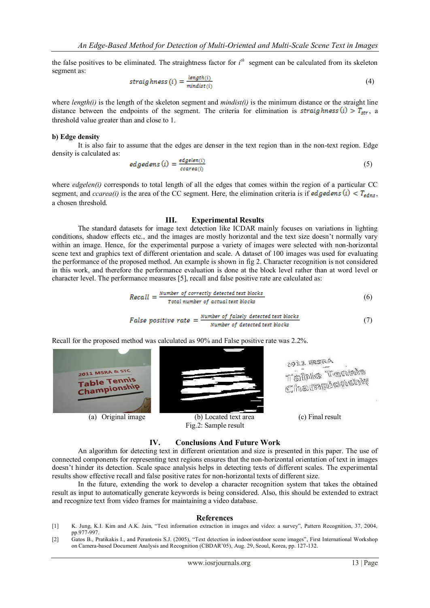the false positives to be eliminated. The straightness factor for *i th* segment can be calculated from its skeleton segment as:

$$
straightness(i) = \frac{length(i)}{mindist(i)}
$$
(4)

where *length(i)* is the length of the skeleton segment and  $mindist(i)$  is the minimum distance or the straight line distance between the endpoints of the segment. The criteria for elimination is straighness (i)  $>T_{str}$ , a threshold value greater than and close to 1.

#### **b) Edge density**

It is also fair to assume that the edges are denser in the text region than in the non-text region. Edge density is calculated as:

$$
edgeens(i) = \frac{edgeien(i)}{ccarea(i)}\tag{5}
$$

where *edgelen(i)* corresponds to total length of all the edges that comes within the region of a particular CC segment, and *ccarea(i)* is the area of the CC segment. Here, the elimination criteria is if **edgedens** (i) <  $T_{edns}$ , a chosen threshold.

#### **III. Experimental Results**

The standard datasets for image text detection like ICDAR mainly focuses on variations in lighting conditions, shadow effects etc., and the images are mostly horizontal and the text size doesn"t normally vary within an image. Hence, for the experimental purpose a variety of images were selected with non-horizontal scene text and graphics text of different orientation and scale. A dataset of 100 images was used for evaluating the performance of the proposed method. An example is shown in fig 2. Character recognition is not considered in this work, and therefore the performance evaluation is done at the block level rather than at word level or character level. The performance measures [5], recall and false positive rate are calculated as:

Recall = 
$$
\frac{Number\ of\ correctly\ detected\ text\ blocks}{Total\ number\ of\ actual\ text\ blocks}
$$
 (6)

False positive rate = 
$$
\frac{Number\ of\ falsely\ detected\ text\ blocks}{Number\ of\ detected\ text\ blocks}
$$
 (7)

Recall for the proposed method was calculated as 90% and False positive rate was 2.2%.



Fig.2: Sample result

#### **IV. Conclusions And Future Work**

An algorithm for detecting text in different orientation and size is presented in this paper. The use of connected components for representing text regions ensures that the non-horizontal orientation of text in images doesn"t hinder its detection. Scale space analysis helps in detecting texts of different scales. The experimental results show effective recall and false positive rates for non-horizontal texts of different size.

In the future, extending the work to develop a character recognition system that takes the obtained result as input to automatically generate keywords is being considered. Also, this should be extended to extract and recognize text from video frames for maintaining a video database.

#### **References**

- [1] K. Jung, K.I. Kim and A.K. Jain, "Text information extraction in images and video: a survey", Pattern Recognition, 37, 2004, pp.977-997.
- [2] Gatos B., Pratikakis I., and Perantonis S.J. (2005), "Text detection in indoor/outdoor scene images", First International Workshop on Camera-based Document Analysis and Recognition (CBDAR"05), Aug. 29, Seoul, Korea, pp. 127-132.